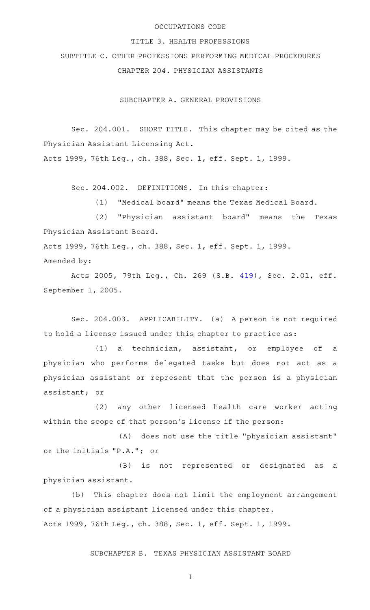### OCCUPATIONS CODE

#### TITLE 3. HEALTH PROFESSIONS

SUBTITLE C. OTHER PROFESSIONS PERFORMING MEDICAL PROCEDURES CHAPTER 204. PHYSICIAN ASSISTANTS

SUBCHAPTER A. GENERAL PROVISIONS

Sec. 204.001. SHORT TITLE. This chapter may be cited as the Physician Assistant Licensing Act.

Acts 1999, 76th Leg., ch. 388, Sec. 1, eff. Sept. 1, 1999.

Sec. 204.002. DEFINITIONS. In this chapter:

(1) "Medical board" means the Texas Medical Board.

(2) "Physician assistant board" means the Texas Physician Assistant Board.

Acts 1999, 76th Leg., ch. 388, Sec. 1, eff. Sept. 1, 1999. Amended by:

Acts 2005, 79th Leg., Ch. 269 (S.B. [419](http://www.legis.state.tx.us/tlodocs/79R/billtext/html/SB00419F.HTM)), Sec. 2.01, eff. September 1, 2005.

Sec. 204.003. APPLICABILITY. (a) A person is not required to hold a license issued under this chapter to practice as:

(1) a technician, assistant, or employee of a physician who performs delegated tasks but does not act as a physician assistant or represent that the person is a physician assistant; or

(2) any other licensed health care worker acting within the scope of that person 's license if the person:

(A) does not use the title "physician assistant" or the initials "P.A."; or

(B) is not represented or designated as a physician assistant.

(b) This chapter does not limit the employment arrangement of a physician assistant licensed under this chapter. Acts 1999, 76th Leg., ch. 388, Sec. 1, eff. Sept. 1, 1999.

SUBCHAPTER B. TEXAS PHYSICIAN ASSISTANT BOARD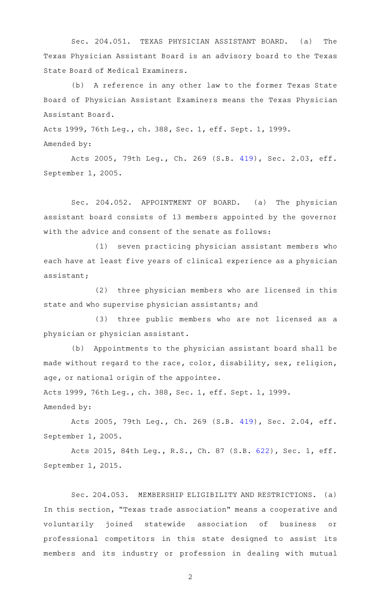Sec. 204.051. TEXAS PHYSICIAN ASSISTANT BOARD. (a) The Texas Physician Assistant Board is an advisory board to the Texas State Board of Medical Examiners.

(b) A reference in any other law to the former Texas State Board of Physician Assistant Examiners means the Texas Physician Assistant Board.

Acts 1999, 76th Leg., ch. 388, Sec. 1, eff. Sept. 1, 1999. Amended by:

Acts 2005, 79th Leg., Ch. 269 (S.B. [419](http://www.legis.state.tx.us/tlodocs/79R/billtext/html/SB00419F.HTM)), Sec. 2.03, eff. September 1, 2005.

Sec. 204.052. APPOINTMENT OF BOARD. (a) The physician assistant board consists of 13 members appointed by the governor with the advice and consent of the senate as follows:

(1) seven practicing physician assistant members who each have at least five years of clinical experience as a physician assistant;

(2) three physician members who are licensed in this state and who supervise physician assistants; and

(3) three public members who are not licensed as a physician or physician assistant.

(b) Appointments to the physician assistant board shall be made without regard to the race, color, disability, sex, religion, age, or national origin of the appointee.

Acts 1999, 76th Leg., ch. 388, Sec. 1, eff. Sept. 1, 1999. Amended by:

Acts 2005, 79th Leg., Ch. 269 (S.B. [419](http://www.legis.state.tx.us/tlodocs/79R/billtext/html/SB00419F.HTM)), Sec. 2.04, eff. September 1, 2005.

Acts 2015, 84th Leg., R.S., Ch. 87 (S.B. [622](http://www.legis.state.tx.us/tlodocs/84R/billtext/html/SB00622F.HTM)), Sec. 1, eff. September 1, 2015.

Sec. 204.053. MEMBERSHIP ELIGIBILITY AND RESTRICTIONS. (a) In this section, "Texas trade association" means a cooperative and voluntarily joined statewide association of business or professional competitors in this state designed to assist its members and its industry or profession in dealing with mutual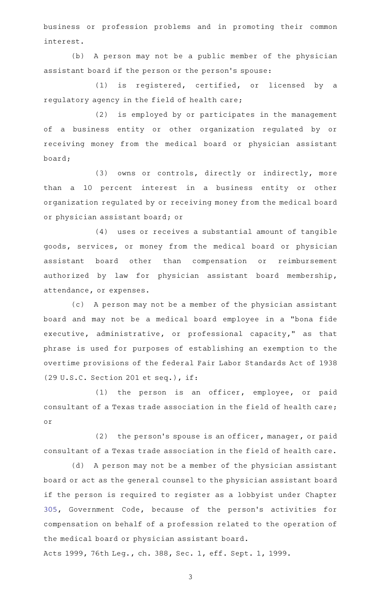business or profession problems and in promoting their common interest.

(b) A person may not be a public member of the physician assistant board if the person or the person 's spouse:

 $(1)$  is registered, certified, or licensed by a regulatory agency in the field of health care;

(2) is employed by or participates in the management of a business entity or other organization regulated by or receiving money from the medical board or physician assistant board;

(3) owns or controls, directly or indirectly, more than a 10 percent interest in a business entity or other organization regulated by or receiving money from the medical board or physician assistant board; or

(4) uses or receives a substantial amount of tangible goods, services, or money from the medical board or physician assistant board other than compensation or reimbursement authorized by law for physician assistant board membership, attendance, or expenses.

(c) A person may not be a member of the physician assistant board and may not be a medical board employee in a "bona fide executive, administrative, or professional capacity," as that phrase is used for purposes of establishing an exemption to the overtime provisions of the federal Fair Labor Standards Act of 1938 (29 U.S.C. Section 201 et seq.), if:

(1) the person is an officer, employee, or paid consultant of a Texas trade association in the field of health care; or

 $(2)$  the person's spouse is an officer, manager, or paid consultant of a Texas trade association in the field of health care.

(d) A person may not be a member of the physician assistant board or act as the general counsel to the physician assistant board if the person is required to register as a lobbyist under Chapter [305,](http://www.statutes.legis.state.tx.us/GetStatute.aspx?Code=GV&Value=305) Government Code, because of the person 's activities for compensation on behalf of a profession related to the operation of the medical board or physician assistant board.

Acts 1999, 76th Leg., ch. 388, Sec. 1, eff. Sept. 1, 1999.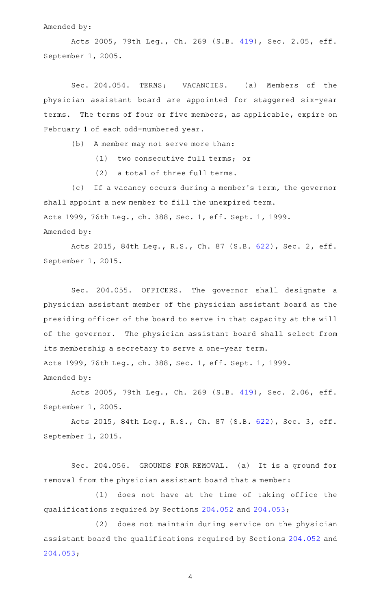### Amended by:

Acts 2005, 79th Leg., Ch. 269 (S.B. [419](http://www.legis.state.tx.us/tlodocs/79R/billtext/html/SB00419F.HTM)), Sec. 2.05, eff. September 1, 2005.

Sec. 204.054. TERMS; VACANCIES. (a) Members of the physician assistant board are appointed for staggered six-year terms. The terms of four or five members, as applicable, expire on February 1 of each odd-numbered year.

(b) A member may not serve more than:

(1) two consecutive full terms; or

(2) a total of three full terms.

(c) If a vacancy occurs during a member's term, the governor shall appoint a new member to fill the unexpired term. Acts 1999, 76th Leg., ch. 388, Sec. 1, eff. Sept. 1, 1999. Amended by:

Acts 2015, 84th Leg., R.S., Ch. 87 (S.B. [622](http://www.legis.state.tx.us/tlodocs/84R/billtext/html/SB00622F.HTM)), Sec. 2, eff. September 1, 2015.

Sec. 204.055. OFFICERS. The governor shall designate a physician assistant member of the physician assistant board as the presiding officer of the board to serve in that capacity at the will of the governor. The physician assistant board shall select from its membership a secretary to serve a one-year term.

Acts 1999, 76th Leg., ch. 388, Sec. 1, eff. Sept. 1, 1999. Amended by:

Acts 2005, 79th Leg., Ch. 269 (S.B. [419](http://www.legis.state.tx.us/tlodocs/79R/billtext/html/SB00419F.HTM)), Sec. 2.06, eff. September 1, 2005.

Acts 2015, 84th Leg., R.S., Ch. 87 (S.B. [622](http://www.legis.state.tx.us/tlodocs/84R/billtext/html/SB00622F.HTM)), Sec. 3, eff. September 1, 2015.

Sec. 204.056. GROUNDS FOR REMOVAL. (a) It is a ground for removal from the physician assistant board that a member:

 $(1)$  does not have at the time of taking office the qualifications required by Sections [204.052](http://www.statutes.legis.state.tx.us/GetStatute.aspx?Code=OC&Value=204.052) and [204.053](http://www.statutes.legis.state.tx.us/GetStatute.aspx?Code=OC&Value=204.053);

(2) does not maintain during service on the physician assistant board the qualifications required by Sections [204.052](http://www.statutes.legis.state.tx.us/GetStatute.aspx?Code=OC&Value=204.052) and [204.053;](http://www.statutes.legis.state.tx.us/GetStatute.aspx?Code=OC&Value=204.053)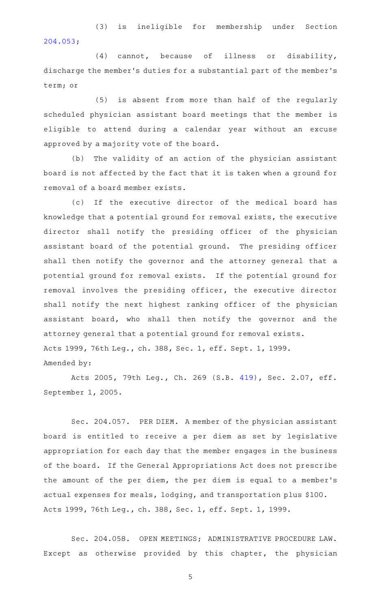(3) is ineligible for membership under Section [204.053;](http://www.statutes.legis.state.tx.us/GetStatute.aspx?Code=OC&Value=204.053)

 $(4)$  cannot, because of illness or disability, discharge the member 's duties for a substantial part of the member 's term; or

(5) is absent from more than half of the regularly scheduled physician assistant board meetings that the member is eligible to attend during a calendar year without an excuse approved by a majority vote of the board.

(b) The validity of an action of the physician assistant board is not affected by the fact that it is taken when a ground for removal of a board member exists.

(c) If the executive director of the medical board has knowledge that a potential ground for removal exists, the executive director shall notify the presiding officer of the physician assistant board of the potential ground. The presiding officer shall then notify the governor and the attorney general that a potential ground for removal exists. If the potential ground for removal involves the presiding officer, the executive director shall notify the next highest ranking officer of the physician assistant board, who shall then notify the governor and the attorney general that a potential ground for removal exists. Acts 1999, 76th Leg., ch. 388, Sec. 1, eff. Sept. 1, 1999. Amended by:

Acts 2005, 79th Leg., Ch. 269 (S.B. [419](http://www.legis.state.tx.us/tlodocs/79R/billtext/html/SB00419F.HTM)), Sec. 2.07, eff. September 1, 2005.

Sec. 204.057. PER DIEM. A member of the physician assistant board is entitled to receive a per diem as set by legislative appropriation for each day that the member engages in the business of the board. If the General Appropriations Act does not prescribe the amount of the per diem, the per diem is equal to a member 's actual expenses for meals, lodging, and transportation plus \$100. Acts 1999, 76th Leg., ch. 388, Sec. 1, eff. Sept. 1, 1999.

Sec. 204.058. OPEN MEETINGS; ADMINISTRATIVE PROCEDURE LAW. Except as otherwise provided by this chapter, the physician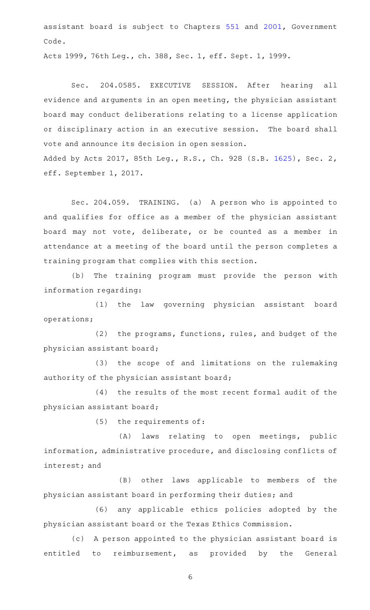assistant board is subject to Chapters [551](http://www.statutes.legis.state.tx.us/GetStatute.aspx?Code=GV&Value=551) and [2001](http://www.statutes.legis.state.tx.us/GetStatute.aspx?Code=GV&Value=2001), Government Code.

Acts 1999, 76th Leg., ch. 388, Sec. 1, eff. Sept. 1, 1999.

Sec. 204.0585. EXECUTIVE SESSION. After hearing all evidence and arguments in an open meeting, the physician assistant board may conduct deliberations relating to a license application or disciplinary action in an executive session. The board shall vote and announce its decision in open session. Added by Acts 2017, 85th Leg., R.S., Ch. 928 (S.B. [1625](http://www.legis.state.tx.us/tlodocs/85R/billtext/html/SB01625F.HTM)), Sec. 2, eff. September 1, 2017.

Sec. 204.059. TRAINING. (a) A person who is appointed to and qualifies for office as a member of the physician assistant board may not vote, deliberate, or be counted as a member in attendance at a meeting of the board until the person completes a training program that complies with this section.

(b) The training program must provide the person with information regarding:

(1) the law governing physician assistant board operations;

(2) the programs, functions, rules, and budget of the physician assistant board;

(3) the scope of and limitations on the rulemaking authority of the physician assistant board;

(4) the results of the most recent formal audit of the physician assistant board;

(5) the requirements of:

(A) laws relating to open meetings, public information, administrative procedure, and disclosing conflicts of interest; and

(B) other laws applicable to members of the physician assistant board in performing their duties; and

(6) any applicable ethics policies adopted by the physician assistant board or the Texas Ethics Commission.

(c) A person appointed to the physician assistant board is entitled to reimbursement, as provided by the General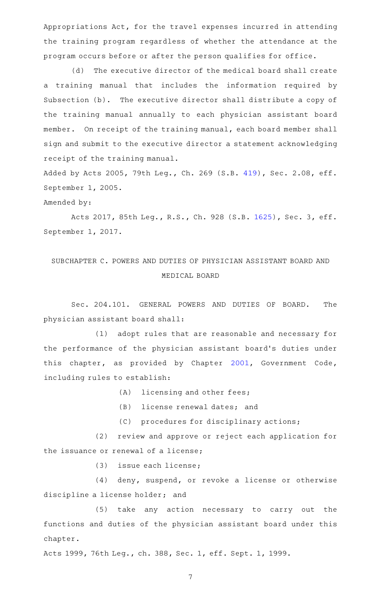Appropriations Act, for the travel expenses incurred in attending the training program regardless of whether the attendance at the program occurs before or after the person qualifies for office.

(d) The executive director of the medical board shall create a training manual that includes the information required by Subsection (b). The executive director shall distribute a copy of the training manual annually to each physician assistant board member. On receipt of the training manual, each board member shall sign and submit to the executive director a statement acknowledging receipt of the training manual.

Added by Acts 2005, 79th Leg., Ch. 269 (S.B. [419](http://www.legis.state.tx.us/tlodocs/79R/billtext/html/SB00419F.HTM)), Sec. 2.08, eff. September 1, 2005.

Amended by:

Acts 2017, 85th Leg., R.S., Ch. 928 (S.B. [1625](http://www.legis.state.tx.us/tlodocs/85R/billtext/html/SB01625F.HTM)), Sec. 3, eff. September 1, 2017.

# SUBCHAPTER C. POWERS AND DUTIES OF PHYSICIAN ASSISTANT BOARD AND MEDICAL BOARD

Sec. 204.101. GENERAL POWERS AND DUTIES OF BOARD. The physician assistant board shall:

(1) adopt rules that are reasonable and necessary for the performance of the physician assistant board's duties under this chapter, as provided by Chapter [2001,](http://www.statutes.legis.state.tx.us/GetStatute.aspx?Code=GV&Value=2001) Government Code, including rules to establish:

(A) licensing and other fees;

- (B) license renewal dates; and
- (C) procedures for disciplinary actions;

(2) review and approve or reject each application for the issuance or renewal of a license;

(3) issue each license;

(4) deny, suspend, or revoke a license or otherwise discipline a license holder; and

(5) take any action necessary to carry out the functions and duties of the physician assistant board under this chapter.

Acts 1999, 76th Leg., ch. 388, Sec. 1, eff. Sept. 1, 1999.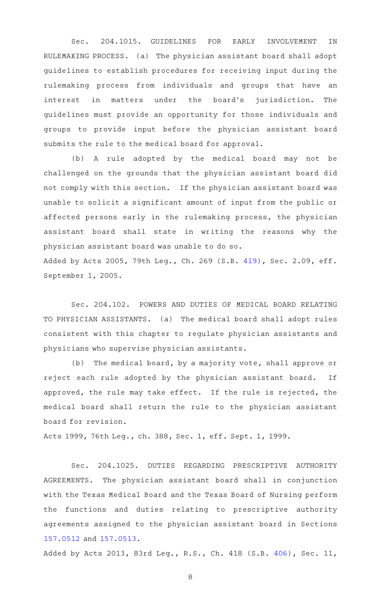Sec. 204.1015. GUIDELINES FOR EARLY INVOLVEMENT IN RULEMAKING PROCESS. (a) The physician assistant board shall adopt guidelines to establish procedures for receiving input during the rulemaking process from individuals and groups that have an interest in matters under the board's jurisdiction. The guidelines must provide an opportunity for those individuals and groups to provide input before the physician assistant board submits the rule to the medical board for approval.

(b) A rule adopted by the medical board may not be challenged on the grounds that the physician assistant board did not comply with this section. If the physician assistant board was unable to solicit a significant amount of input from the public or affected persons early in the rulemaking process, the physician assistant board shall state in writing the reasons why the physician assistant board was unable to do so.

Added by Acts 2005, 79th Leg., Ch. 269 (S.B. [419](http://www.legis.state.tx.us/tlodocs/79R/billtext/html/SB00419F.HTM)), Sec. 2.09, eff. September 1, 2005.

Sec. 204.102. POWERS AND DUTIES OF MEDICAL BOARD RELATING TO PHYSICIAN ASSISTANTS. (a) The medical board shall adopt rules consistent with this chapter to regulate physician assistants and physicians who supervise physician assistants.

(b) The medical board, by a majority vote, shall approve or reject each rule adopted by the physician assistant board. If approved, the rule may take effect. If the rule is rejected, the medical board shall return the rule to the physician assistant board for revision.

Acts 1999, 76th Leg., ch. 388, Sec. 1, eff. Sept. 1, 1999.

Sec. 204.1025. DUTIES REGARDING PRESCRIPTIVE AUTHORITY AGREEMENTS. The physician assistant board shall in conjunction with the Texas Medical Board and the Texas Board of Nursing perform the functions and duties relating to prescriptive authority agreements assigned to the physician assistant board in Sections [157.0512](http://www.statutes.legis.state.tx.us/GetStatute.aspx?Code=OC&Value=157.0512) and [157.0513](http://www.statutes.legis.state.tx.us/GetStatute.aspx?Code=OC&Value=157.0513).

Added by Acts 2013, 83rd Leg., R.S., Ch. 418 (S.B. [406\)](http://www.legis.state.tx.us/tlodocs/83R/billtext/html/SB00406F.HTM), Sec. 11,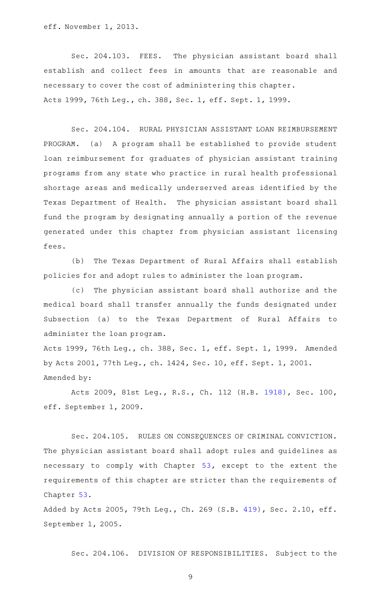eff. November 1, 2013.

Sec. 204.103. FEES. The physician assistant board shall establish and collect fees in amounts that are reasonable and necessary to cover the cost of administering this chapter. Acts 1999, 76th Leg., ch. 388, Sec. 1, eff. Sept. 1, 1999.

Sec. 204.104. RURAL PHYSICIAN ASSISTANT LOAN REIMBURSEMENT PROGRAM. (a) A program shall be established to provide student loan reimbursement for graduates of physician assistant training programs from any state who practice in rural health professional shortage areas and medically underserved areas identified by the Texas Department of Health. The physician assistant board shall fund the program by designating annually a portion of the revenue generated under this chapter from physician assistant licensing fees.

(b) The Texas Department of Rural Affairs shall establish policies for and adopt rules to administer the loan program.

(c) The physician assistant board shall authorize and the medical board shall transfer annually the funds designated under Subsection (a) to the Texas Department of Rural Affairs to administer the loan program.

Acts 1999, 76th Leg., ch. 388, Sec. 1, eff. Sept. 1, 1999. Amended by Acts 2001, 77th Leg., ch. 1424, Sec. 10, eff. Sept. 1, 2001. Amended by:

Acts 2009, 81st Leg., R.S., Ch. 112 (H.B. [1918\)](http://www.legis.state.tx.us/tlodocs/81R/billtext/html/HB01918F.HTM), Sec. 100, eff. September 1, 2009.

Sec. 204.105. RULES ON CONSEQUENCES OF CRIMINAL CONVICTION. The physician assistant board shall adopt rules and guidelines as necessary to comply with Chapter [53,](http://www.statutes.legis.state.tx.us/GetStatute.aspx?Code=OC&Value=53) except to the extent the requirements of this chapter are stricter than the requirements of Chapter [53.](http://www.statutes.legis.state.tx.us/GetStatute.aspx?Code=OC&Value=53)

Added by Acts 2005, 79th Leg., Ch. 269 (S.B. [419](http://www.legis.state.tx.us/tlodocs/79R/billtext/html/SB00419F.HTM)), Sec. 2.10, eff. September 1, 2005.

Sec. 204.106. DIVISION OF RESPONSIBILITIES. Subject to the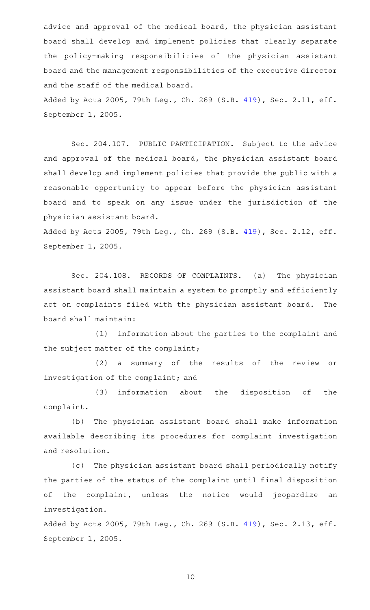advice and approval of the medical board, the physician assistant board shall develop and implement policies that clearly separate the policy-making responsibilities of the physician assistant board and the management responsibilities of the executive director and the staff of the medical board.

Added by Acts 2005, 79th Leg., Ch. 269 (S.B. [419](http://www.legis.state.tx.us/tlodocs/79R/billtext/html/SB00419F.HTM)), Sec. 2.11, eff. September 1, 2005.

Sec. 204.107. PUBLIC PARTICIPATION. Subject to the advice and approval of the medical board, the physician assistant board shall develop and implement policies that provide the public with a reasonable opportunity to appear before the physician assistant board and to speak on any issue under the jurisdiction of the physician assistant board.

Added by Acts 2005, 79th Leg., Ch. 269 (S.B. [419](http://www.legis.state.tx.us/tlodocs/79R/billtext/html/SB00419F.HTM)), Sec. 2.12, eff. September 1, 2005.

Sec. 204.108. RECORDS OF COMPLAINTS. (a) The physician assistant board shall maintain a system to promptly and efficiently act on complaints filed with the physician assistant board. The board shall maintain:

(1) information about the parties to the complaint and the subject matter of the complaint;

(2) a summary of the results of the review or investigation of the complaint; and

(3) information about the disposition of the complaint.

(b) The physician assistant board shall make information available describing its procedures for complaint investigation and resolution.

(c) The physician assistant board shall periodically notify the parties of the status of the complaint until final disposition of the complaint, unless the notice would jeopardize an investigation.

Added by Acts 2005, 79th Leg., Ch. 269 (S.B. [419](http://www.legis.state.tx.us/tlodocs/79R/billtext/html/SB00419F.HTM)), Sec. 2.13, eff. September 1, 2005.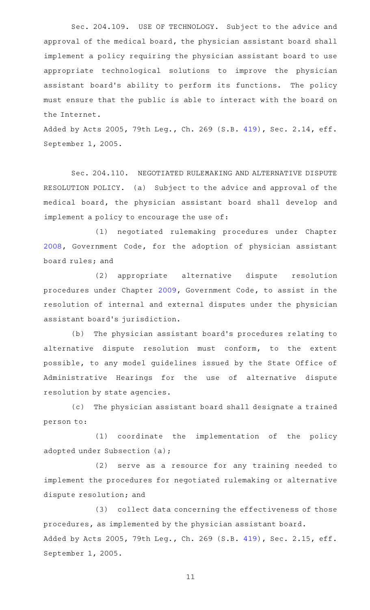Sec. 204.109. USE OF TECHNOLOGY. Subject to the advice and approval of the medical board, the physician assistant board shall implement a policy requiring the physician assistant board to use appropriate technological solutions to improve the physician assistant board's ability to perform its functions. The policy must ensure that the public is able to interact with the board on the Internet.

Added by Acts 2005, 79th Leg., Ch. 269 (S.B. [419](http://www.legis.state.tx.us/tlodocs/79R/billtext/html/SB00419F.HTM)), Sec. 2.14, eff. September 1, 2005.

Sec. 204.110. NEGOTIATED RULEMAKING AND ALTERNATIVE DISPUTE RESOLUTION POLICY. (a) Subject to the advice and approval of the medical board, the physician assistant board shall develop and implement a policy to encourage the use of:

(1) negotiated rulemaking procedures under Chapter [2008](http://www.statutes.legis.state.tx.us/GetStatute.aspx?Code=GV&Value=2008), Government Code, for the adoption of physician assistant board rules; and

(2) appropriate alternative dispute resolution procedures under Chapter [2009,](http://www.statutes.legis.state.tx.us/GetStatute.aspx?Code=GV&Value=2009) Government Code, to assist in the resolution of internal and external disputes under the physician assistant board's jurisdiction.

(b) The physician assistant board's procedures relating to alternative dispute resolution must conform, to the extent possible, to any model guidelines issued by the State Office of Administrative Hearings for the use of alternative dispute resolution by state agencies.

(c) The physician assistant board shall designate a trained person to:

(1) coordinate the implementation of the policy adopted under Subsection (a);

(2) serve as a resource for any training needed to implement the procedures for negotiated rulemaking or alternative dispute resolution; and

(3) collect data concerning the effectiveness of those procedures, as implemented by the physician assistant board. Added by Acts 2005, 79th Leg., Ch. 269 (S.B. [419](http://www.legis.state.tx.us/tlodocs/79R/billtext/html/SB00419F.HTM)), Sec. 2.15, eff. September 1, 2005.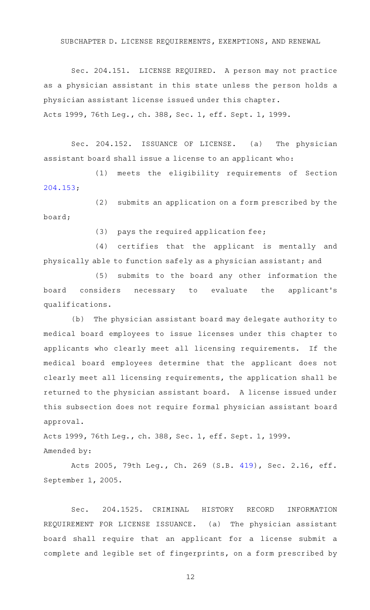SUBCHAPTER D. LICENSE REQUIREMENTS, EXEMPTIONS, AND RENEWAL

Sec. 204.151. LICENSE REQUIRED. A person may not practice as a physician assistant in this state unless the person holds a physician assistant license issued under this chapter. Acts 1999, 76th Leg., ch. 388, Sec. 1, eff. Sept. 1, 1999.

Sec. 204.152. ISSUANCE OF LICENSE. (a) The physician assistant board shall issue a license to an applicant who:

(1) meets the eligibility requirements of Section [204.153;](http://www.statutes.legis.state.tx.us/GetStatute.aspx?Code=OC&Value=204.153)

(2) submits an application on a form prescribed by the board;

 $(3)$  pays the required application fee;

(4) certifies that the applicant is mentally and physically able to function safely as a physician assistant; and

(5) submits to the board any other information the board considers necessary to evaluate the applicant 's qualifications.

(b) The physician assistant board may delegate authority to medical board employees to issue licenses under this chapter to applicants who clearly meet all licensing requirements. If the medical board employees determine that the applicant does not clearly meet all licensing requirements, the application shall be returned to the physician assistant board. A license issued under this subsection does not require formal physician assistant board approval.

Acts 1999, 76th Leg., ch. 388, Sec. 1, eff. Sept. 1, 1999. Amended by:

Acts 2005, 79th Leg., Ch. 269 (S.B. [419](http://www.legis.state.tx.us/tlodocs/79R/billtext/html/SB00419F.HTM)), Sec. 2.16, eff. September 1, 2005.

Sec. 204.1525. CRIMINAL HISTORY RECORD INFORMATION REQUIREMENT FOR LICENSE ISSUANCE. (a) The physician assistant board shall require that an applicant for a license submit a complete and legible set of fingerprints, on a form prescribed by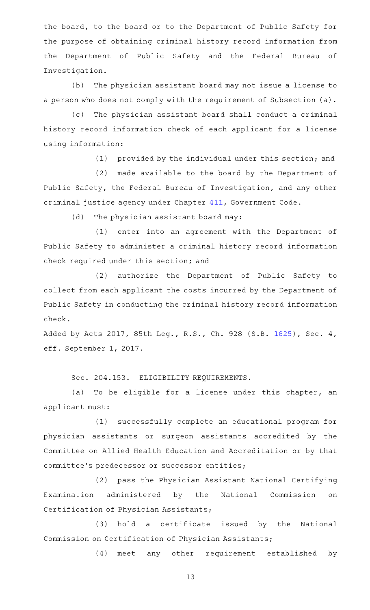the board, to the board or to the Department of Public Safety for the purpose of obtaining criminal history record information from the Department of Public Safety and the Federal Bureau of Investigation.

(b) The physician assistant board may not issue a license to a person who does not comply with the requirement of Subsection (a).

(c) The physician assistant board shall conduct a criminal history record information check of each applicant for a license using information:

(1) provided by the individual under this section; and

(2) made available to the board by the Department of Public Safety, the Federal Bureau of Investigation, and any other criminal justice agency under Chapter [411,](http://www.statutes.legis.state.tx.us/GetStatute.aspx?Code=GV&Value=411) Government Code.

(d) The physician assistant board may:

(1) enter into an agreement with the Department of Public Safety to administer a criminal history record information check required under this section; and

(2) authorize the Department of Public Safety to collect from each applicant the costs incurred by the Department of Public Safety in conducting the criminal history record information check.

Added by Acts 2017, 85th Leg., R.S., Ch. 928 (S.B. [1625](http://www.legis.state.tx.us/tlodocs/85R/billtext/html/SB01625F.HTM)), Sec. 4, eff. September 1, 2017.

Sec. 204.153. ELIGIBILITY REQUIREMENTS.

(a) To be eligible for a license under this chapter, an applicant must:

(1) successfully complete an educational program for physician assistants or surgeon assistants accredited by the Committee on Allied Health Education and Accreditation or by that committee 's predecessor or successor entities;

(2) pass the Physician Assistant National Certifying Examination administered by the National Commission on Certification of Physician Assistants;

(3) hold a certificate issued by the National Commission on Certification of Physician Assistants;

(4) meet any other requirement established by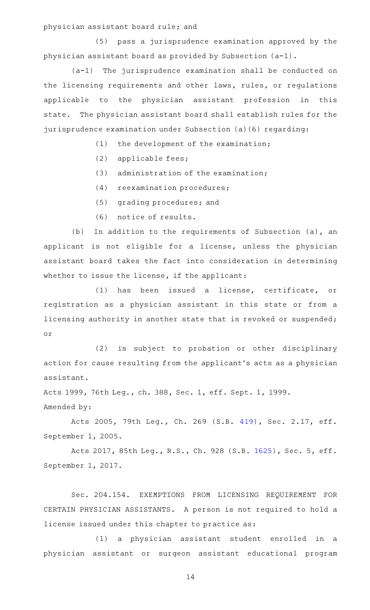physician assistant board rule; and

(5) pass a jurisprudence examination approved by the physician assistant board as provided by Subsection (a-1).

 $(a-1)$  The jurisprudence examination shall be conducted on the licensing requirements and other laws, rules, or regulations applicable to the physician assistant profession in this state. The physician assistant board shall establish rules for the jurisprudence examination under Subsection (a)(6) regarding:

 $(1)$  the development of the examination;

- $(2)$  applicable fees;
- $(3)$  administration of the examination;
- (4) reexamination procedures;
- (5) grading procedures; and
- (6) notice of results.

(b) In addition to the requirements of Subsection (a), an applicant is not eligible for a license, unless the physician assistant board takes the fact into consideration in determining whether to issue the license, if the applicant:

(1) has been issued a license, certificate, or registration as a physician assistant in this state or from a licensing authority in another state that is revoked or suspended; or

(2) is subject to probation or other disciplinary action for cause resulting from the applicant 's acts as a physician assistant.

Acts 1999, 76th Leg., ch. 388, Sec. 1, eff. Sept. 1, 1999. Amended by:

Acts 2005, 79th Leg., Ch. 269 (S.B. [419](http://www.legis.state.tx.us/tlodocs/79R/billtext/html/SB00419F.HTM)), Sec. 2.17, eff. September 1, 2005.

Acts 2017, 85th Leg., R.S., Ch. 928 (S.B. [1625](http://www.legis.state.tx.us/tlodocs/85R/billtext/html/SB01625F.HTM)), Sec. 5, eff. September 1, 2017.

Sec. 204.154. EXEMPTIONS FROM LICENSING REQUIREMENT FOR CERTAIN PHYSICIAN ASSISTANTS. A person is not required to hold a license issued under this chapter to practice as:

(1) a physician assistant student enrolled in a physician assistant or surgeon assistant educational program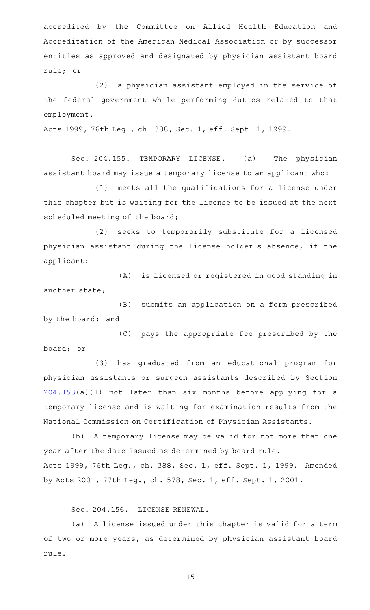accredited by the Committee on Allied Health Education and Accreditation of the American Medical Association or by successor entities as approved and designated by physician assistant board rule; or

(2) a physician assistant employed in the service of the federal government while performing duties related to that employment.

Acts 1999, 76th Leg., ch. 388, Sec. 1, eff. Sept. 1, 1999.

Sec. 204.155. TEMPORARY LICENSE. (a) The physician assistant board may issue a temporary license to an applicant who:

(1) meets all the qualifications for a license under this chapter but is waiting for the license to be issued at the next scheduled meeting of the board;

(2) seeks to temporarily substitute for a licensed physician assistant during the license holder 's absence, if the applicant:

(A) is licensed or registered in good standing in another state;

(B) submits an application on a form prescribed by the board; and

(C) pays the appropriate fee prescribed by the board; or

(3) has graduated from an educational program for physician assistants or surgeon assistants described by Section [204.153\(](http://www.statutes.legis.state.tx.us/GetStatute.aspx?Code=OC&Value=204.153)a)(1) not later than six months before applying for a temporary license and is waiting for examination results from the National Commission on Certification of Physician Assistants.

(b) A temporary license may be valid for not more than one year after the date issued as determined by board rule. Acts 1999, 76th Leg., ch. 388, Sec. 1, eff. Sept. 1, 1999. Amended by Acts 2001, 77th Leg., ch. 578, Sec. 1, eff. Sept. 1, 2001.

Sec. 204.156. LICENSE RENEWAL.

(a) A license issued under this chapter is valid for a term of two or more years, as determined by physician assistant board rule.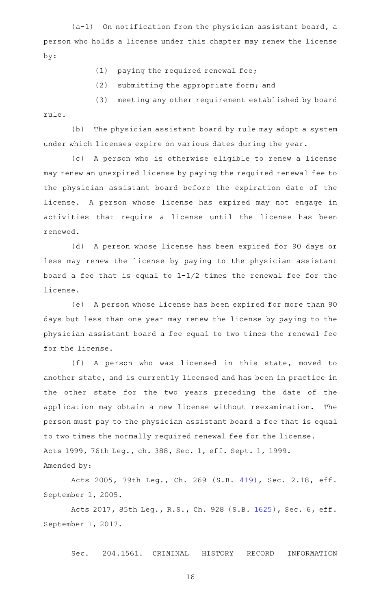$(a-1)$  On notification from the physician assistant board, a person who holds a license under this chapter may renew the license by:

- $(1)$  paying the required renewal fee;
- $(2)$  submitting the appropriate form; and

(3) meeting any other requirement established by board rule.

(b) The physician assistant board by rule may adopt a system under which licenses expire on various dates during the year.

(c) A person who is otherwise eligible to renew a license may renew an unexpired license by paying the required renewal fee to the physician assistant board before the expiration date of the license. A person whose license has expired may not engage in activities that require a license until the license has been renewed.

(d) A person whose license has been expired for 90 days or less may renew the license by paying to the physician assistant board a fee that is equal to  $1-1/2$  times the renewal fee for the license.

(e) A person whose license has been expired for more than 90 days but less than one year may renew the license by paying to the physician assistant board a fee equal to two times the renewal fee for the license.

(f)AAA person who was licensed in this state, moved to another state, and is currently licensed and has been in practice in the other state for the two years preceding the date of the application may obtain a new license without reexamination. The person must pay to the physician assistant board a fee that is equal to two times the normally required renewal fee for the license. Acts 1999, 76th Leg., ch. 388, Sec. 1, eff. Sept. 1, 1999. Amended by:

Acts 2005, 79th Leg., Ch. 269 (S.B. [419](http://www.legis.state.tx.us/tlodocs/79R/billtext/html/SB00419F.HTM)), Sec. 2.18, eff. September 1, 2005.

Acts 2017, 85th Leg., R.S., Ch. 928 (S.B. [1625](http://www.legis.state.tx.us/tlodocs/85R/billtext/html/SB01625F.HTM)), Sec. 6, eff. September 1, 2017.

Sec. 204.1561. CRIMINAL HISTORY RECORD INFORMATION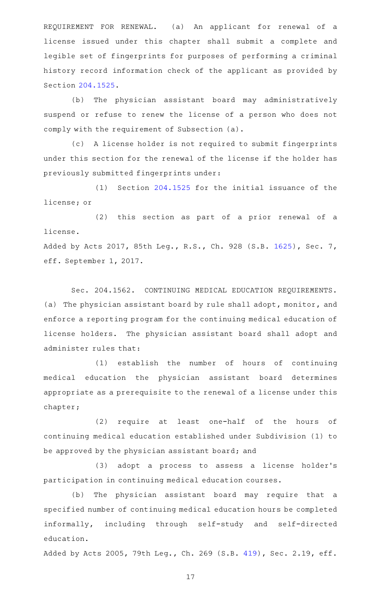REQUIREMENT FOR RENEWAL. (a) An applicant for renewal of a license issued under this chapter shall submit a complete and legible set of fingerprints for purposes of performing a criminal history record information check of the applicant as provided by Section [204.1525](http://www.statutes.legis.state.tx.us/GetStatute.aspx?Code=OC&Value=204.1525).

(b) The physician assistant board may administratively suspend or refuse to renew the license of a person who does not comply with the requirement of Subsection (a).

(c) A license holder is not required to submit fingerprints under this section for the renewal of the license if the holder has previously submitted fingerprints under:

 $(1)$  Section [204.1525](http://www.statutes.legis.state.tx.us/GetStatute.aspx?Code=OC&Value=204.1525) for the initial issuance of the license; or

(2) this section as part of a prior renewal of a license. Added by Acts 2017, 85th Leg., R.S., Ch. 928 (S.B. [1625](http://www.legis.state.tx.us/tlodocs/85R/billtext/html/SB01625F.HTM)), Sec. 7,

eff. September 1, 2017.

Sec. 204.1562. CONTINUING MEDICAL EDUCATION REQUIREMENTS. (a) The physician assistant board by rule shall adopt, monitor, and enforce a reporting program for the continuing medical education of license holders. The physician assistant board shall adopt and administer rules that:

(1) establish the number of hours of continuing medical education the physician assistant board determines appropriate as a prerequisite to the renewal of a license under this chapter;

(2) require at least one-half of the hours of continuing medical education established under Subdivision (1) to be approved by the physician assistant board; and

(3) adopt a process to assess a license holder's participation in continuing medical education courses.

(b) The physician assistant board may require that a specified number of continuing medical education hours be completed informally, including through self-study and self-directed education.

Added by Acts 2005, 79th Leg., Ch. 269 (S.B. [419](http://www.legis.state.tx.us/tlodocs/79R/billtext/html/SB00419F.HTM)), Sec. 2.19, eff.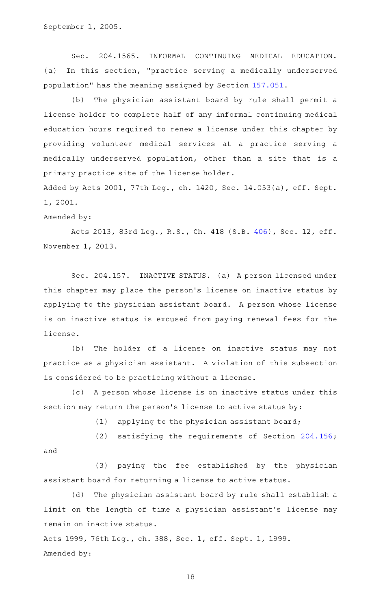Sec. 204.1565. INFORMAL CONTINUING MEDICAL EDUCATION. (a) In this section, "practice serving a medically underserved population" has the meaning assigned by Section [157.051.](http://www.statutes.legis.state.tx.us/GetStatute.aspx?Code=OC&Value=157.051)

(b) The physician assistant board by rule shall permit a license holder to complete half of any informal continuing medical education hours required to renew a license under this chapter by providing volunteer medical services at a practice serving a medically underserved population, other than a site that is a primary practice site of the license holder.

Added by Acts 2001, 77th Leg., ch. 1420, Sec. 14.053(a), eff. Sept. 1, 2001.

## Amended by:

Acts 2013, 83rd Leg., R.S., Ch. 418 (S.B. [406\)](http://www.legis.state.tx.us/tlodocs/83R/billtext/html/SB00406F.HTM), Sec. 12, eff. November 1, 2013.

Sec. 204.157. INACTIVE STATUS. (a) A person licensed under this chapter may place the person 's license on inactive status by applying to the physician assistant board. A person whose license is on inactive status is excused from paying renewal fees for the license.

(b) The holder of a license on inactive status may not practice as a physician assistant. A violation of this subsection is considered to be practicing without a license.

(c) A person whose license is on inactive status under this section may return the person's license to active status by:

 $(1)$  applying to the physician assistant board;

(2) satisfying the requirements of Section  $204.156$ ; and

(3) paying the fee established by the physician assistant board for returning a license to active status.

(d) The physician assistant board by rule shall establish a limit on the length of time a physician assistant 's license may remain on inactive status.

Acts 1999, 76th Leg., ch. 388, Sec. 1, eff. Sept. 1, 1999. Amended by: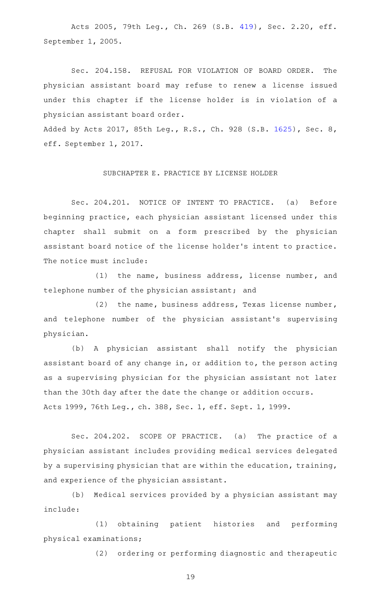Acts 2005, 79th Leg., Ch. 269 (S.B. [419](http://www.legis.state.tx.us/tlodocs/79R/billtext/html/SB00419F.HTM)), Sec. 2.20, eff. September 1, 2005.

Sec. 204.158. REFUSAL FOR VIOLATION OF BOARD ORDER. The physician assistant board may refuse to renew a license issued under this chapter if the license holder is in violation of a physician assistant board order.

Added by Acts 2017, 85th Leg., R.S., Ch. 928 (S.B. [1625](http://www.legis.state.tx.us/tlodocs/85R/billtext/html/SB01625F.HTM)), Sec. 8, eff. September 1, 2017.

### SUBCHAPTER E. PRACTICE BY LICENSE HOLDER

Sec. 204.201. NOTICE OF INTENT TO PRACTICE. (a) Before beginning practice, each physician assistant licensed under this chapter shall submit on a form prescribed by the physician assistant board notice of the license holder 's intent to practice. The notice must include:

 $(1)$  the name, business address, license number, and telephone number of the physician assistant; and

(2) the name, business address, Texas license number, and telephone number of the physician assistant 's supervising physician.

(b) A physician assistant shall notify the physician assistant board of any change in, or addition to, the person acting as a supervising physician for the physician assistant not later than the 30th day after the date the change or addition occurs. Acts 1999, 76th Leg., ch. 388, Sec. 1, eff. Sept. 1, 1999.

Sec. 204.202. SCOPE OF PRACTICE. (a) The practice of a physician assistant includes providing medical services delegated by a supervising physician that are within the education, training, and experience of the physician assistant.

(b) Medical services provided by a physician assistant may include:

(1) obtaining patient histories and performing physical examinations;

(2) ordering or performing diagnostic and therapeutic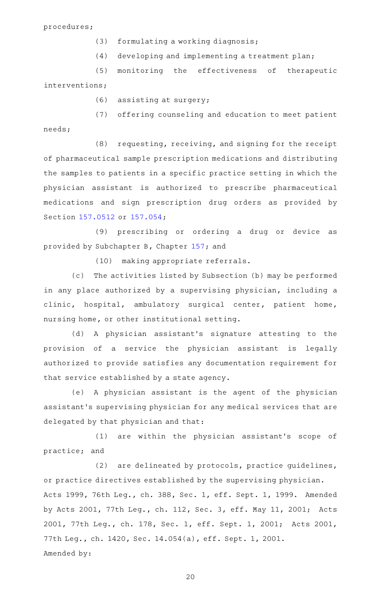procedures;

- $(3)$  formulating a working diagnosis;
- (4) developing and implementing a treatment plan;

(5) monitoring the effectiveness of therapeutic interventions;

 $(6)$  assisting at surgery;

(7) offering counseling and education to meet patient needs;

(8) requesting, receiving, and signing for the receipt of pharmaceutical sample prescription medications and distributing the samples to patients in a specific practice setting in which the physician assistant is authorized to prescribe pharmaceutical medications and sign prescription drug orders as provided by Section [157.0512](http://www.statutes.legis.state.tx.us/GetStatute.aspx?Code=OC&Value=157.0512) or [157.054](http://www.statutes.legis.state.tx.us/GetStatute.aspx?Code=OC&Value=157.054);

(9) prescribing or ordering a drug or device as provided by Subchapter B, Chapter [157;](http://www.statutes.legis.state.tx.us/GetStatute.aspx?Code=OC&Value=157) and

(10) making appropriate referrals.

(c) The activities listed by Subsection (b) may be performed in any place authorized by a supervising physician, including a clinic, hospital, ambulatory surgical center, patient home, nursing home, or other institutional setting.

(d)AAA physician assistant 's signature attesting to the provision of a service the physician assistant is legally authorized to provide satisfies any documentation requirement for that service established by a state agency.

(e)AAA physician assistant is the agent of the physician assistant 's supervising physician for any medical services that are delegated by that physician and that:

(1) are within the physician assistant's scope of practice; and

(2) are delineated by protocols, practice guidelines, or practice directives established by the supervising physician. Acts 1999, 76th Leg., ch. 388, Sec. 1, eff. Sept. 1, 1999. Amended by Acts 2001, 77th Leg., ch. 112, Sec. 3, eff. May 11, 2001; Acts 2001, 77th Leg., ch. 178, Sec. 1, eff. Sept. 1, 2001; Acts 2001, 77th Leg., ch. 1420, Sec. 14.054(a), eff. Sept. 1, 2001. Amended by: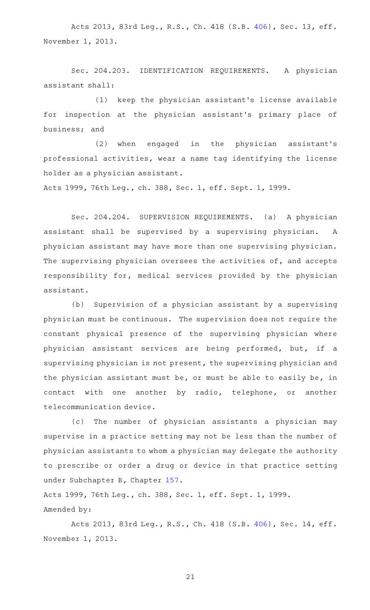Acts 2013, 83rd Leg., R.S., Ch. 418 (S.B. [406\)](http://www.legis.state.tx.us/tlodocs/83R/billtext/html/SB00406F.HTM), Sec. 13, eff. November 1, 2013.

Sec. 204.203. IDENTIFICATION REQUIREMENTS. A physician assistant shall:

(1) keep the physician assistant's license available for inspection at the physician assistant 's primary place of business; and

(2) when engaged in the physician assistant's professional activities, wear a name tag identifying the license holder as a physician assistant.

Acts 1999, 76th Leg., ch. 388, Sec. 1, eff. Sept. 1, 1999.

Sec. 204.204. SUPERVISION REQUIREMENTS. (a) A physician assistant shall be supervised by a supervising physician. A physician assistant may have more than one supervising physician. The supervising physician oversees the activities of, and accepts responsibility for, medical services provided by the physician assistant.

(b) Supervision of a physician assistant by a supervising physician must be continuous. The supervision does not require the constant physical presence of the supervising physician where physician assistant services are being performed, but, if a supervising physician is not present, the supervising physician and the physician assistant must be, or must be able to easily be, in contact with one another by radio, telephone, or another telecommunication device.

(c) The number of physician assistants a physician may supervise in a practice setting may not be less than the number of physician assistants to whom a physician may delegate the authority to prescribe or order a drug or device in that practice setting under Subchapter B, Chapter [157.](http://www.statutes.legis.state.tx.us/GetStatute.aspx?Code=OC&Value=157)

Acts 1999, 76th Leg., ch. 388, Sec. 1, eff. Sept. 1, 1999. Amended by:

Acts 2013, 83rd Leg., R.S., Ch. 418 (S.B. [406\)](http://www.legis.state.tx.us/tlodocs/83R/billtext/html/SB00406F.HTM), Sec. 14, eff. November 1, 2013.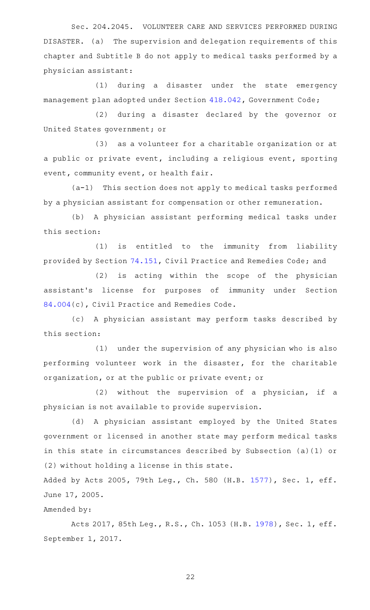Sec. 204.2045. VOLUNTEER CARE AND SERVICES PERFORMED DURING DISASTER. (a) The supervision and delegation requirements of this chapter and Subtitle B do not apply to medical tasks performed by a physician assistant:

(1) during a disaster under the state emergency management plan adopted under Section [418.042](http://www.statutes.legis.state.tx.us/GetStatute.aspx?Code=GV&Value=418.042), Government Code;

(2) during a disaster declared by the governor or United States government; or

(3) as a volunteer for a charitable organization or at a public or private event, including a religious event, sporting event, community event, or health fair.

(a-1) This section does not apply to medical tasks performed by a physician assistant for compensation or other remuneration.

(b) A physician assistant performing medical tasks under this section:

(1) is entitled to the immunity from liability provided by Section [74.151,](http://www.statutes.legis.state.tx.us/GetStatute.aspx?Code=CP&Value=74.151) Civil Practice and Remedies Code; and

(2) is acting within the scope of the physician assistant 's license for purposes of immunity under Section [84.004](http://www.statutes.legis.state.tx.us/GetStatute.aspx?Code=CP&Value=84.004)(c), Civil Practice and Remedies Code.

(c)AAA physician assistant may perform tasks described by this section:

(1) under the supervision of any physician who is also performing volunteer work in the disaster, for the charitable organization, or at the public or private event; or

 $(2)$  without the supervision of a physician, if a physician is not available to provide supervision.

(d) A physician assistant employed by the United States government or licensed in another state may perform medical tasks in this state in circumstances described by Subsection (a)(1) or (2) without holding a license in this state.

Added by Acts 2005, 79th Leg., Ch. 580 (H.B. [1577](http://www.legis.state.tx.us/tlodocs/79R/billtext/html/HB01577F.HTM)), Sec. 1, eff. June 17, 2005.

Amended by:

Acts 2017, 85th Leg., R.S., Ch. 1053 (H.B. [1978](http://www.legis.state.tx.us/tlodocs/85R/billtext/html/HB01978F.HTM)), Sec. 1, eff. September 1, 2017.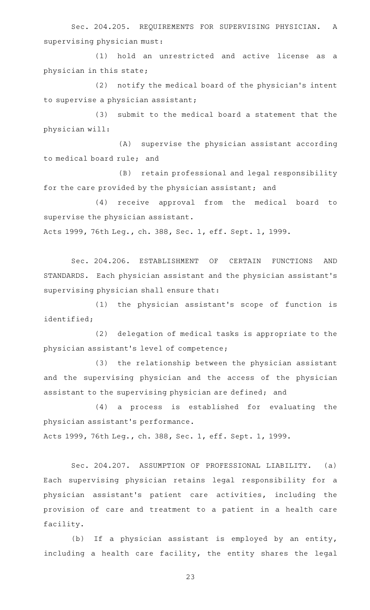Sec. 204.205. REQUIREMENTS FOR SUPERVISING PHYSICIAN. A supervising physician must:

(1) hold an unrestricted and active license as a physician in this state;

(2) notify the medical board of the physician's intent to supervise a physician assistant;

(3) submit to the medical board a statement that the physician will:

(A) supervise the physician assistant according to medical board rule; and

(B) retain professional and legal responsibility for the care provided by the physician assistant; and

(4) receive approval from the medical board to supervise the physician assistant.

Acts 1999, 76th Leg., ch. 388, Sec. 1, eff. Sept. 1, 1999.

Sec. 204.206. ESTABLISHMENT OF CERTAIN FUNCTIONS AND STANDARDS. Each physician assistant and the physician assistant 's supervising physician shall ensure that:

(1) the physician assistant's scope of function is identified;

(2) delegation of medical tasks is appropriate to the physician assistant 's level of competence;

(3) the relationship between the physician assistant and the supervising physician and the access of the physician assistant to the supervising physician are defined; and

(4) a process is established for evaluating the physician assistant 's performance.

Acts 1999, 76th Leg., ch. 388, Sec. 1, eff. Sept. 1, 1999.

Sec. 204.207. ASSUMPTION OF PROFESSIONAL LIABILITY. (a) Each supervising physician retains legal responsibility for a physician assistant 's patient care activities, including the provision of care and treatment to a patient in a health care facility.

(b) If a physician assistant is employed by an entity, including a health care facility, the entity shares the legal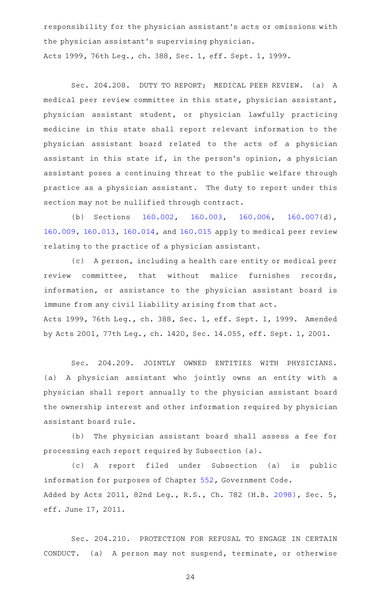responsibility for the physician assistant 's acts or omissions with the physician assistant 's supervising physician. Acts 1999, 76th Leg., ch. 388, Sec. 1, eff. Sept. 1, 1999.

Sec. 204.208. DUTY TO REPORT; MEDICAL PEER REVIEW. (a) A medical peer review committee in this state, physician assistant, physician assistant student, or physician lawfully practicing medicine in this state shall report relevant information to the physician assistant board related to the acts of a physician assistant in this state if, in the person's opinion, a physician assistant poses a continuing threat to the public welfare through practice as a physician assistant. The duty to report under this section may not be nullified through contract.

(b) Sections [160.002,](http://www.statutes.legis.state.tx.us/GetStatute.aspx?Code=OC&Value=160.002) [160.003,](http://www.statutes.legis.state.tx.us/GetStatute.aspx?Code=OC&Value=160.003) [160.006,](http://www.statutes.legis.state.tx.us/GetStatute.aspx?Code=OC&Value=160.006) [160.007\(](http://www.statutes.legis.state.tx.us/GetStatute.aspx?Code=OC&Value=160.007)d), [160.009,](http://www.statutes.legis.state.tx.us/GetStatute.aspx?Code=OC&Value=160.009) [160.013,](http://www.statutes.legis.state.tx.us/GetStatute.aspx?Code=OC&Value=160.013) [160.014](http://www.statutes.legis.state.tx.us/GetStatute.aspx?Code=OC&Value=160.014), and [160.015](http://www.statutes.legis.state.tx.us/GetStatute.aspx?Code=OC&Value=160.015) apply to medical peer review relating to the practice of a physician assistant.

(c) A person, including a health care entity or medical peer review committee, that without malice furnishes records, information, or assistance to the physician assistant board is immune from any civil liability arising from that act. Acts 1999, 76th Leg., ch. 388, Sec. 1, eff. Sept. 1, 1999. Amended by Acts 2001, 77th Leg., ch. 1420, Sec. 14.055, eff. Sept. 1, 2001.

Sec. 204.209. JOINTLY OWNED ENTITIES WITH PHYSICIANS. (a) A physician assistant who jointly owns an entity with a physician shall report annually to the physician assistant board the ownership interest and other information required by physician assistant board rule.

(b) The physician assistant board shall assess a fee for processing each report required by Subsection (a).

(c)AAA report filed under Subsection (a) is public information for purposes of Chapter [552,](http://www.statutes.legis.state.tx.us/GetStatute.aspx?Code=GV&Value=552) Government Code. Added by Acts 2011, 82nd Leg., R.S., Ch. 782 (H.B. [2098](http://www.legis.state.tx.us/tlodocs/82R/billtext/html/HB02098F.HTM)), Sec. 5, eff. June 17, 2011.

Sec. 204.210. PROTECTION FOR REFUSAL TO ENGAGE IN CERTAIN CONDUCT. (a) A person may not suspend, terminate, or otherwise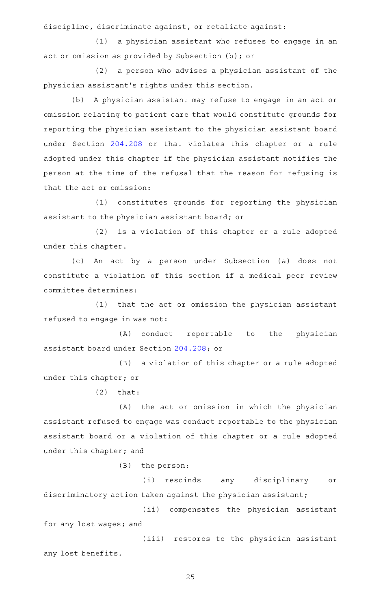discipline, discriminate against, or retaliate against:

(1) a physician assistant who refuses to engage in an act or omission as provided by Subsection (b); or

(2) a person who advises a physician assistant of the physician assistant 's rights under this section.

(b) A physician assistant may refuse to engage in an act or omission relating to patient care that would constitute grounds for reporting the physician assistant to the physician assistant board under Section [204.208](http://www.statutes.legis.state.tx.us/GetStatute.aspx?Code=OC&Value=204.208) or that violates this chapter or a rule adopted under this chapter if the physician assistant notifies the person at the time of the refusal that the reason for refusing is that the act or omission:

(1) constitutes grounds for reporting the physician assistant to the physician assistant board; or

(2) is a violation of this chapter or a rule adopted under this chapter.

(c) An act by a person under Subsection (a) does not constitute a violation of this section if a medical peer review committee determines:

(1) that the act or omission the physician assistant refused to engage in was not:

(A) conduct reportable to the physician assistant board under Section [204.208](http://www.statutes.legis.state.tx.us/GetStatute.aspx?Code=OC&Value=204.208); or

(B) a violation of this chapter or a rule adopted under this chapter; or

 $(2)$  that:

(A) the act or omission in which the physician assistant refused to engage was conduct reportable to the physician assistant board or a violation of this chapter or a rule adopted under this chapter; and

 $(B)$  the person:

(i) rescinds any disciplinary or discriminatory action taken against the physician assistant;

(ii) compensates the physician assistant for any lost wages; and

(iii) restores to the physician assistant any lost benefits.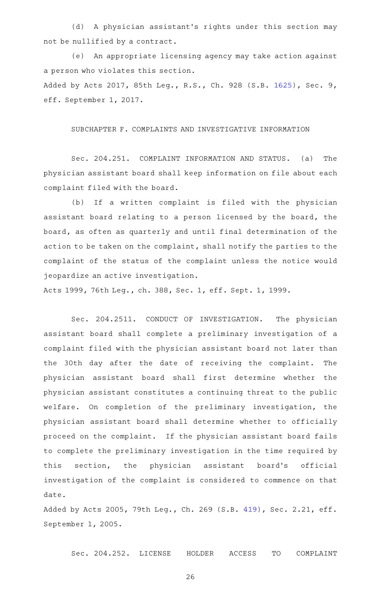(d) A physician assistant's rights under this section may not be nullified by a contract.

(e) An appropriate licensing agency may take action against a person who violates this section. Added by Acts 2017, 85th Leg., R.S., Ch. 928 (S.B. [1625](http://www.legis.state.tx.us/tlodocs/85R/billtext/html/SB01625F.HTM)), Sec. 9, eff. September 1, 2017.

SUBCHAPTER F. COMPLAINTS AND INVESTIGATIVE INFORMATION

Sec. 204.251. COMPLAINT INFORMATION AND STATUS. (a) The physician assistant board shall keep information on file about each complaint filed with the board.

(b) If a written complaint is filed with the physician assistant board relating to a person licensed by the board, the board, as often as quarterly and until final determination of the action to be taken on the complaint, shall notify the parties to the complaint of the status of the complaint unless the notice would jeopardize an active investigation.

Acts 1999, 76th Leg., ch. 388, Sec. 1, eff. Sept. 1, 1999.

Sec. 204.2511. CONDUCT OF INVESTIGATION. The physician assistant board shall complete a preliminary investigation of a complaint filed with the physician assistant board not later than the 30th day after the date of receiving the complaint. The physician assistant board shall first determine whether the physician assistant constitutes a continuing threat to the public welfare. On completion of the preliminary investigation, the physician assistant board shall determine whether to officially proceed on the complaint. If the physician assistant board fails to complete the preliminary investigation in the time required by this section, the physician assistant board's official investigation of the complaint is considered to commence on that date.

Added by Acts 2005, 79th Leg., Ch. 269 (S.B. [419](http://www.legis.state.tx.us/tlodocs/79R/billtext/html/SB00419F.HTM)), Sec. 2.21, eff. September 1, 2005.

Sec. 204.252. LICENSE HOLDER ACCESS TO COMPLAINT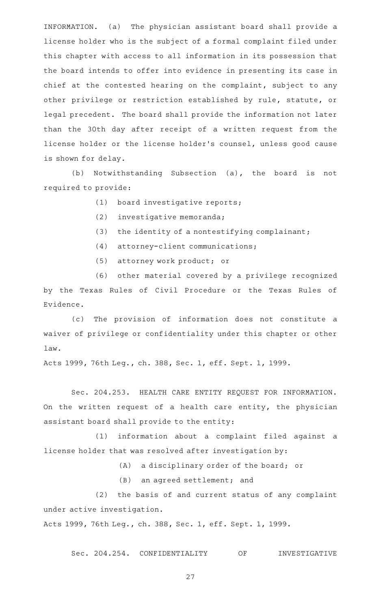INFORMATION. (a) The physician assistant board shall provide a license holder who is the subject of a formal complaint filed under this chapter with access to all information in its possession that the board intends to offer into evidence in presenting its case in chief at the contested hearing on the complaint, subject to any other privilege or restriction established by rule, statute, or legal precedent. The board shall provide the information not later than the 30th day after receipt of a written request from the license holder or the license holder 's counsel, unless good cause is shown for delay.

(b) Notwithstanding Subsection (a), the board is not required to provide:

- (1) board investigative reports;
- (2) investigative memoranda;
- (3) the identity of a nontestifying complainant;
- (4) attorney-client communications;
- (5) attorney work product; or

(6) other material covered by a privilege recognized by the Texas Rules of Civil Procedure or the Texas Rules of Evidence.

(c) The provision of information does not constitute a waiver of privilege or confidentiality under this chapter or other law.

Acts 1999, 76th Leg., ch. 388, Sec. 1, eff. Sept. 1, 1999.

Sec. 204.253. HEALTH CARE ENTITY REQUEST FOR INFORMATION. On the written request of a health care entity, the physician assistant board shall provide to the entity:

(1) information about a complaint filed against a license holder that was resolved after investigation by:

(A) a disciplinary order of the board; or

(B) an agreed settlement; and

(2) the basis of and current status of any complaint under active investigation.

Acts 1999, 76th Leg., ch. 388, Sec. 1, eff. Sept. 1, 1999.

Sec. 204.254. CONFIDENTIALITY OF INVESTIGATIVE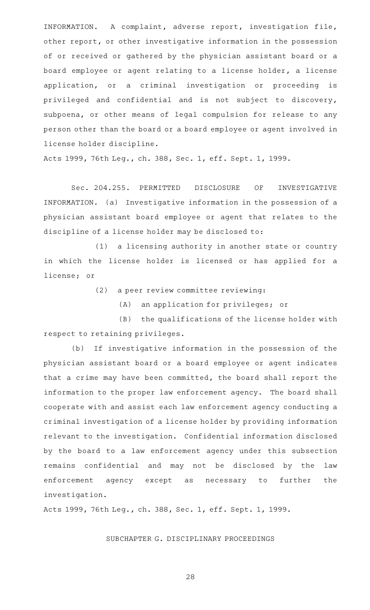INFORMATION. A complaint, adverse report, investigation file, other report, or other investigative information in the possession of or received or gathered by the physician assistant board or a board employee or agent relating to a license holder, a license application, or a criminal investigation or proceeding is privileged and confidential and is not subject to discovery, subpoena, or other means of legal compulsion for release to any person other than the board or a board employee or agent involved in license holder discipline.

Acts 1999, 76th Leg., ch. 388, Sec. 1, eff. Sept. 1, 1999.

Sec. 204.255. PERMITTED DISCLOSURE OF INVESTIGATIVE INFORMATION. (a) Investigative information in the possession of a physician assistant board employee or agent that relates to the discipline of a license holder may be disclosed to:

(1) a licensing authority in another state or country in which the license holder is licensed or has applied for a license; or

(2) a peer review committee reviewing:

(A) an application for privileges; or

(B) the qualifications of the license holder with respect to retaining privileges.

(b) If investigative information in the possession of the physician assistant board or a board employee or agent indicates that a crime may have been committed, the board shall report the information to the proper law enforcement agency. The board shall cooperate with and assist each law enforcement agency conducting a criminal investigation of a license holder by providing information relevant to the investigation. Confidential information disclosed by the board to a law enforcement agency under this subsection remains confidential and may not be disclosed by the law enforcement agency except as necessary to further the investigation.

Acts 1999, 76th Leg., ch. 388, Sec. 1, eff. Sept. 1, 1999.

SUBCHAPTER G. DISCIPLINARY PROCEEDINGS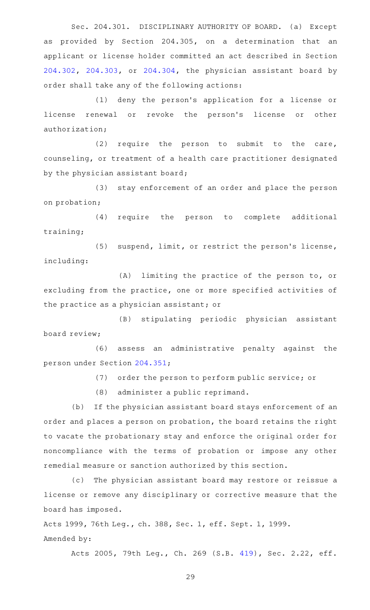Sec. 204.301. DISCIPLINARY AUTHORITY OF BOARD. (a) Except as provided by Section 204.305, on a determination that an applicant or license holder committed an act described in Section [204.302,](http://www.statutes.legis.state.tx.us/GetStatute.aspx?Code=OC&Value=204.302) [204.303](http://www.statutes.legis.state.tx.us/GetStatute.aspx?Code=OC&Value=204.303), or [204.304](http://www.statutes.legis.state.tx.us/GetStatute.aspx?Code=OC&Value=204.304), the physician assistant board by order shall take any of the following actions:

(1) deny the person's application for a license or license renewal or revoke the person's license or other authorization;

 $(2)$  require the person to submit to the care, counseling, or treatment of a health care practitioner designated by the physician assistant board;

(3) stay enforcement of an order and place the person on probation;

(4) require the person to complete additional training;

(5) suspend, limit, or restrict the person's license, including:

 $(A)$  limiting the practice of the person to, or excluding from the practice, one or more specified activities of the practice as a physician assistant; or

(B) stipulating periodic physician assistant board review;

(6) assess an administrative penalty against the person under Section [204.351;](http://www.statutes.legis.state.tx.us/GetStatute.aspx?Code=OC&Value=204.351)

(7) order the person to perform public service; or

(8) administer a public reprimand.

(b) If the physician assistant board stays enforcement of an order and places a person on probation, the board retains the right to vacate the probationary stay and enforce the original order for noncompliance with the terms of probation or impose any other remedial measure or sanction authorized by this section.

(c) The physician assistant board may restore or reissue a license or remove any disciplinary or corrective measure that the board has imposed.

Acts 1999, 76th Leg., ch. 388, Sec. 1, eff. Sept. 1, 1999. Amended by:

Acts 2005, 79th Leg., Ch. 269 (S.B. [419](http://www.legis.state.tx.us/tlodocs/79R/billtext/html/SB00419F.HTM)), Sec. 2.22, eff.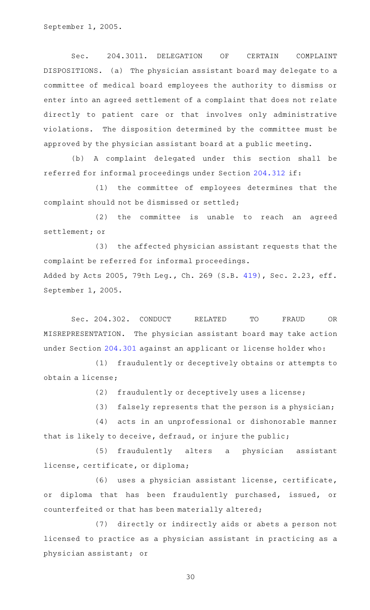Sec. 204.3011. DELEGATION OF CERTAIN COMPLAINT DISPOSITIONS. (a) The physician assistant board may delegate to a committee of medical board employees the authority to dismiss or enter into an agreed settlement of a complaint that does not relate directly to patient care or that involves only administrative violations. The disposition determined by the committee must be approved by the physician assistant board at a public meeting.

(b) A complaint delegated under this section shall be referred for informal proceedings under Section [204.312](http://www.statutes.legis.state.tx.us/GetStatute.aspx?Code=OC&Value=204.312) if:

(1) the committee of employees determines that the complaint should not be dismissed or settled;

(2) the committee is unable to reach an agreed settlement; or

(3) the affected physician assistant requests that the complaint be referred for informal proceedings. Added by Acts 2005, 79th Leg., Ch. 269 (S.B. [419](http://www.legis.state.tx.us/tlodocs/79R/billtext/html/SB00419F.HTM)), Sec. 2.23, eff.

September 1, 2005.

Sec. 204.302. CONDUCT RELATED TO FRAUD OR MISREPRESENTATION. The physician assistant board may take action under Section [204.301](http://www.statutes.legis.state.tx.us/GetStatute.aspx?Code=OC&Value=204.301) against an applicant or license holder who:

(1) fraudulently or deceptively obtains or attempts to obtain a license;

(2) fraudulently or deceptively uses a license;

(3) falsely represents that the person is a physician;

(4) acts in an unprofessional or dishonorable manner that is likely to deceive, defraud, or injure the public;

(5) fraudulently alters a physician assistant license, certificate, or diploma;

(6) uses a physician assistant license, certificate, or diploma that has been fraudulently purchased, issued, or counterfeited or that has been materially altered;

(7) directly or indirectly aids or abets a person not licensed to practice as a physician assistant in practicing as a physician assistant; or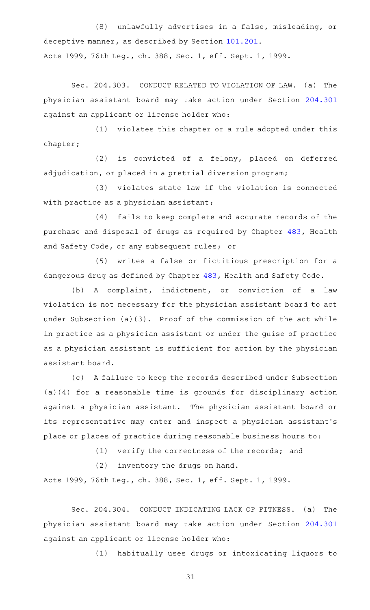(8) unlawfully advertises in a false, misleading, or deceptive manner, as described by Section [101.201.](http://www.statutes.legis.state.tx.us/GetStatute.aspx?Code=OC&Value=101.201) Acts 1999, 76th Leg., ch. 388, Sec. 1, eff. Sept. 1, 1999.

Sec. 204.303. CONDUCT RELATED TO VIOLATION OF LAW. (a) The physician assistant board may take action under Section [204.301](http://www.statutes.legis.state.tx.us/GetStatute.aspx?Code=OC&Value=204.301) against an applicant or license holder who:

(1) violates this chapter or a rule adopted under this chapter;

(2) is convicted of a felony, placed on deferred adjudication, or placed in a pretrial diversion program;

(3) violates state law if the violation is connected with practice as a physician assistant;

(4) fails to keep complete and accurate records of the purchase and disposal of drugs as required by Chapter [483](http://www.statutes.legis.state.tx.us/GetStatute.aspx?Code=HS&Value=483), Health and Safety Code, or any subsequent rules; or

(5) writes a false or fictitious prescription for a dangerous drug as defined by Chapter [483,](http://www.statutes.legis.state.tx.us/GetStatute.aspx?Code=HS&Value=483) Health and Safety Code.

(b) A complaint, indictment, or conviction of a law violation is not necessary for the physician assistant board to act under Subsection (a)(3). Proof of the commission of the act while in practice as a physician assistant or under the guise of practice as a physician assistant is sufficient for action by the physician assistant board.

(c) A failure to keep the records described under Subsection (a)(4) for a reasonable time is grounds for disciplinary action against a physician assistant. The physician assistant board or its representative may enter and inspect a physician assistant 's place or places of practice during reasonable business hours to:

 $(1)$  verify the correctness of the records; and

(2) inventory the drugs on hand.

Acts 1999, 76th Leg., ch. 388, Sec. 1, eff. Sept. 1, 1999.

Sec. 204.304. CONDUCT INDICATING LACK OF FITNESS. (a) The physician assistant board may take action under Section [204.301](http://www.statutes.legis.state.tx.us/GetStatute.aspx?Code=OC&Value=204.301) against an applicant or license holder who:

(1) habitually uses drugs or intoxicating liquors to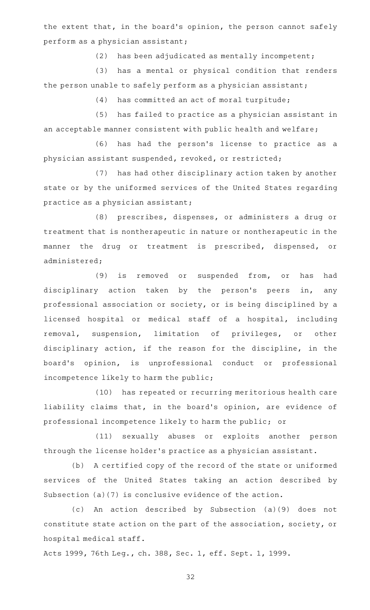the extent that, in the board's opinion, the person cannot safely perform as a physician assistant;

 $(2)$  has been adjudicated as mentally incompetent;

(3) has a mental or physical condition that renders the person unable to safely perform as a physician assistant;

 $(4)$  has committed an act of moral turpitude;

(5) has failed to practice as a physician assistant in an acceptable manner consistent with public health and welfare;

(6) has had the person's license to practice as a physician assistant suspended, revoked, or restricted;

(7) has had other disciplinary action taken by another state or by the uniformed services of the United States regarding practice as a physician assistant;

(8) prescribes, dispenses, or administers a drug or treatment that is nontherapeutic in nature or nontherapeutic in the manner the drug or treatment is prescribed, dispensed, or administered;

(9) is removed or suspended from, or has had disciplinary action taken by the person's peers in, any professional association or society, or is being disciplined by a licensed hospital or medical staff of a hospital, including removal, suspension, limitation of privileges, or other disciplinary action, if the reason for the discipline, in the board's opinion, is unprofessional conduct or professional incompetence likely to harm the public;

(10) has repeated or recurring meritorious health care liability claims that, in the board's opinion, are evidence of professional incompetence likely to harm the public; or

(11) sexually abuses or exploits another person through the license holder 's practice as a physician assistant.

(b) A certified copy of the record of the state or uniformed services of the United States taking an action described by Subsection (a)(7) is conclusive evidence of the action.

(c) An action described by Subsection (a)(9) does not constitute state action on the part of the association, society, or hospital medical staff.

Acts 1999, 76th Leg., ch. 388, Sec. 1, eff. Sept. 1, 1999.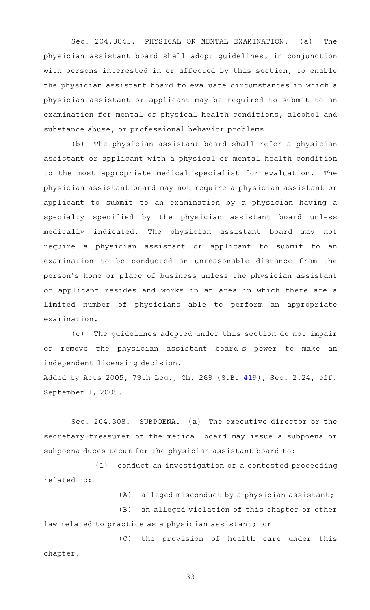Sec. 204.3045. PHYSICAL OR MENTAL EXAMINATION. (a) The physician assistant board shall adopt guidelines, in conjunction with persons interested in or affected by this section, to enable the physician assistant board to evaluate circumstances in which a physician assistant or applicant may be required to submit to an examination for mental or physical health conditions, alcohol and substance abuse, or professional behavior problems.

(b) The physician assistant board shall refer a physician assistant or applicant with a physical or mental health condition to the most appropriate medical specialist for evaluation. The physician assistant board may not require a physician assistant or applicant to submit to an examination by a physician having a specialty specified by the physician assistant board unless medically indicated. The physician assistant board may not require a physician assistant or applicant to submit to an examination to be conducted an unreasonable distance from the person 's home or place of business unless the physician assistant or applicant resides and works in an area in which there are a limited number of physicians able to perform an appropriate examination.

(c) The guidelines adopted under this section do not impair or remove the physician assistant board's power to make an independent licensing decision.

Added by Acts 2005, 79th Leg., Ch. 269 (S.B. [419](http://www.legis.state.tx.us/tlodocs/79R/billtext/html/SB00419F.HTM)), Sec. 2.24, eff. September 1, 2005.

Sec. 204.308. SUBPOENA. (a) The executive director or the secretary-treasurer of the medical board may issue a subpoena or subpoena duces tecum for the physician assistant board to:

(1) conduct an investigation or a contested proceeding related to:

 $(A)$  alleged misconduct by a physician assistant;

(B) an alleged violation of this chapter or other law related to practice as a physician assistant; or

(C) the provision of health care under this chapter;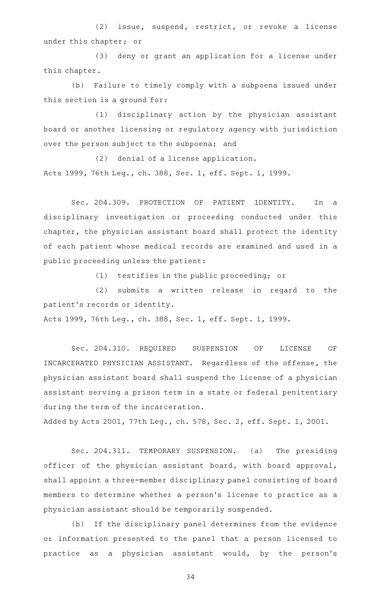(2) issue, suspend, restrict, or revoke a license under this chapter; or

(3) deny or grant an application for a license under this chapter.

(b) Failure to timely comply with a subpoena issued under this section is a ground for:

(1) disciplinary action by the physician assistant board or another licensing or regulatory agency with jurisdiction over the person subject to the subpoena; and

 $(2)$  denial of a license application. Acts 1999, 76th Leg., ch. 388, Sec. 1, eff. Sept. 1, 1999.

Sec. 204.309. PROTECTION OF PATIENT IDENTITY. In a disciplinary investigation or proceeding conducted under this chapter, the physician assistant board shall protect the identity of each patient whose medical records are examined and used in a public proceeding unless the patient:

(1) testifies in the public proceeding; or

(2) submits a written release in regard to the patient 's records or identity.

Acts 1999, 76th Leg., ch. 388, Sec. 1, eff. Sept. 1, 1999.

Sec. 204.310. REQUIRED SUSPENSION OF LICENSE OF INCARCERATED PHYSICIAN ASSISTANT. Regardless of the offense, the physician assistant board shall suspend the license of a physician assistant serving a prison term in a state or federal penitentiary during the term of the incarceration.

Added by Acts 2001, 77th Leg., ch. 578, Sec. 2, eff. Sept. 1, 2001.

Sec. 204.311. TEMPORARY SUSPENSION. (a) The presiding officer of the physician assistant board, with board approval, shall appoint a three-member disciplinary panel consisting of board members to determine whether a person 's license to practice as a physician assistant should be temporarily suspended.

(b) If the disciplinary panel determines from the evidence or information presented to the panel that a person licensed to practice as a physician assistant would, by the person's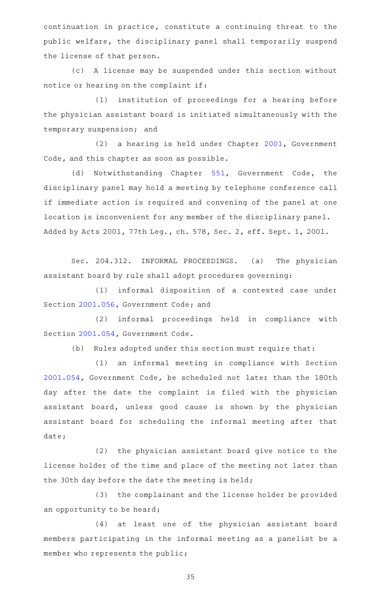continuation in practice, constitute a continuing threat to the public welfare, the disciplinary panel shall temporarily suspend the license of that person.

(c)AAA license may be suspended under this section without notice or hearing on the complaint if:

(1) institution of proceedings for a hearing before the physician assistant board is initiated simultaneously with the temporary suspension; and

(2) a hearing is held under Chapter [2001](http://www.statutes.legis.state.tx.us/GetStatute.aspx?Code=GV&Value=2001), Government Code, and this chapter as soon as possible.

(d) Notwithstanding Chapter [551](http://www.statutes.legis.state.tx.us/GetStatute.aspx?Code=GV&Value=551), Government Code, the disciplinary panel may hold a meeting by telephone conference call if immediate action is required and convening of the panel at one location is inconvenient for any member of the disciplinary panel. Added by Acts 2001, 77th Leg., ch. 578, Sec. 2, eff. Sept. 1, 2001.

Sec. 204.312. INFORMAL PROCEEDINGS. (a) The physician assistant board by rule shall adopt procedures governing:

(1) informal disposition of a contested case under Section [2001.056](http://www.statutes.legis.state.tx.us/GetStatute.aspx?Code=GV&Value=2001.056), Government Code; and

(2) informal proceedings held in compliance with Section [2001.054](http://www.statutes.legis.state.tx.us/GetStatute.aspx?Code=GV&Value=2001.054), Government Code.

(b) Rules adopted under this section must require that:

(1) an informal meeting in compliance with Section [2001.054](http://www.statutes.legis.state.tx.us/GetStatute.aspx?Code=GV&Value=2001.054), Government Code, be scheduled not later than the 180th day after the date the complaint is filed with the physician assistant board, unless good cause is shown by the physician assistant board for scheduling the informal meeting after that date;

 $(2)$  the physician assistant board give notice to the license holder of the time and place of the meeting not later than the 30th day before the date the meeting is held;

(3) the complainant and the license holder be provided an opportunity to be heard;

(4) at least one of the physician assistant board members participating in the informal meeting as a panelist be a member who represents the public;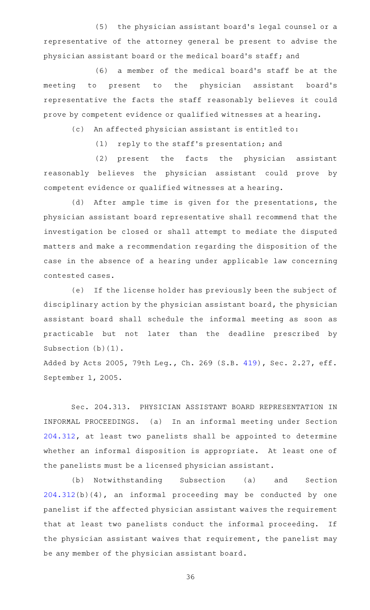(5) the physician assistant board's legal counsel or a representative of the attorney general be present to advise the physician assistant board or the medical board's staff; and

(6) a member of the medical board's staff be at the meeting to present to the physician assistant board's representative the facts the staff reasonably believes it could prove by competent evidence or qualified witnesses at a hearing.

(c) An affected physician assistant is entitled to:

(1) reply to the staff's presentation; and

(2) present the facts the physician assistant reasonably believes the physician assistant could prove by competent evidence or qualified witnesses at a hearing.

(d) After ample time is given for the presentations, the physician assistant board representative shall recommend that the investigation be closed or shall attempt to mediate the disputed matters and make a recommendation regarding the disposition of the case in the absence of a hearing under applicable law concerning contested cases.

(e) If the license holder has previously been the subject of disciplinary action by the physician assistant board, the physician assistant board shall schedule the informal meeting as soon as practicable but not later than the deadline prescribed by Subsection (b)(1).

Added by Acts 2005, 79th Leg., Ch. 269 (S.B. [419](http://www.legis.state.tx.us/tlodocs/79R/billtext/html/SB00419F.HTM)), Sec. 2.27, eff. September 1, 2005.

Sec. 204.313. PHYSICIAN ASSISTANT BOARD REPRESENTATION IN INFORMAL PROCEEDINGS. (a) In an informal meeting under Section [204.312,](http://www.statutes.legis.state.tx.us/GetStatute.aspx?Code=OC&Value=204.312) at least two panelists shall be appointed to determine whether an informal disposition is appropriate. At least one of the panelists must be a licensed physician assistant.

(b) Notwithstanding Subsection (a) and Section [204.312\(](http://www.statutes.legis.state.tx.us/GetStatute.aspx?Code=OC&Value=204.312)b)(4), an informal proceeding may be conducted by one panelist if the affected physician assistant waives the requirement that at least two panelists conduct the informal proceeding. If the physician assistant waives that requirement, the panelist may be any member of the physician assistant board.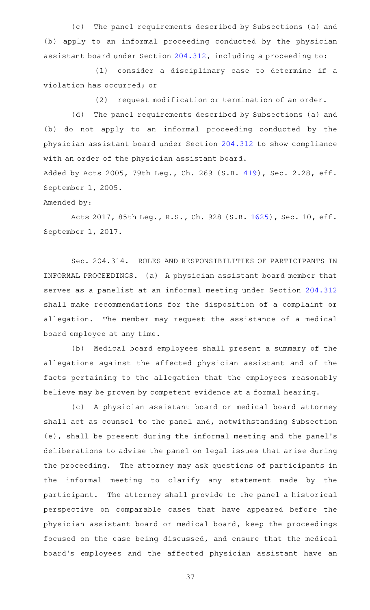(c) The panel requirements described by Subsections (a) and (b) apply to an informal proceeding conducted by the physician assistant board under Section [204.312](http://www.statutes.legis.state.tx.us/GetStatute.aspx?Code=OC&Value=204.312), including a proceeding to:

(1) consider a disciplinary case to determine if a violation has occurred; or

(2) request modification or termination of an order.

(d) The panel requirements described by Subsections (a) and (b) do not apply to an informal proceeding conducted by the physician assistant board under Section [204.312](http://www.statutes.legis.state.tx.us/GetStatute.aspx?Code=OC&Value=204.312) to show compliance with an order of the physician assistant board.

Added by Acts 2005, 79th Leg., Ch. 269 (S.B. [419](http://www.legis.state.tx.us/tlodocs/79R/billtext/html/SB00419F.HTM)), Sec. 2.28, eff. September 1, 2005.

Amended by:

Acts 2017, 85th Leg., R.S., Ch. 928 (S.B. [1625\)](http://www.legis.state.tx.us/tlodocs/85R/billtext/html/SB01625F.HTM), Sec. 10, eff. September 1, 2017.

Sec. 204.314. ROLES AND RESPONSIBILITIES OF PARTICIPANTS IN INFORMAL PROCEEDINGS. (a) A physician assistant board member that serves as a panelist at an informal meeting under Section [204.312](http://www.statutes.legis.state.tx.us/GetStatute.aspx?Code=OC&Value=204.312) shall make recommendations for the disposition of a complaint or allegation. The member may request the assistance of a medical board employee at any time.

(b) Medical board employees shall present a summary of the allegations against the affected physician assistant and of the facts pertaining to the allegation that the employees reasonably believe may be proven by competent evidence at a formal hearing.

(c) A physician assistant board or medical board attorney shall act as counsel to the panel and, notwithstanding Subsection (e), shall be present during the informal meeting and the panel 's deliberations to advise the panel on legal issues that arise during the proceeding. The attorney may ask questions of participants in the informal meeting to clarify any statement made by the participant. The attorney shall provide to the panel a historical perspective on comparable cases that have appeared before the physician assistant board or medical board, keep the proceedings focused on the case being discussed, and ensure that the medical board 's employees and the affected physician assistant have an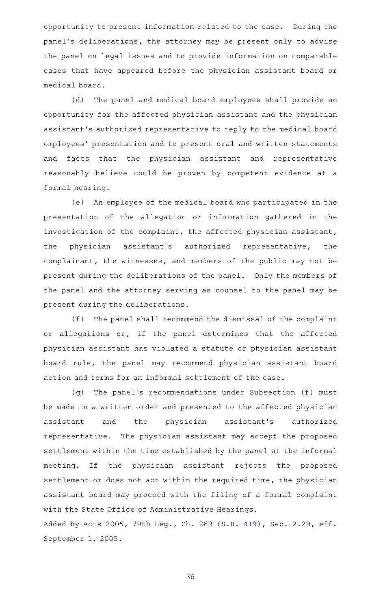opportunity to present information related to the case. During the panel's deliberations, the attorney may be present only to advise the panel on legal issues and to provide information on comparable cases that have appeared before the physician assistant board or medical board.

(d) The panel and medical board employees shall provide an opportunity for the affected physician assistant and the physician assistant 's authorized representative to reply to the medical board employees' presentation and to present oral and written statements and facts that the physician assistant and representative reasonably believe could be proven by competent evidence at a formal hearing.

(e) An employee of the medical board who participated in the presentation of the allegation or information gathered in the investigation of the complaint, the affected physician assistant, the physician assistant 's authorized representative, the complainant, the witnesses, and members of the public may not be present during the deliberations of the panel. Only the members of the panel and the attorney serving as counsel to the panel may be present during the deliberations.

(f) The panel shall recommend the dismissal of the complaint or allegations or, if the panel determines that the affected physician assistant has violated a statute or physician assistant board rule, the panel may recommend physician assistant board action and terms for an informal settlement of the case.

(g) The panel's recommendations under Subsection (f) must be made in a written order and presented to the affected physician assistant and the physician assistant 's authorized representative. The physician assistant may accept the proposed settlement within the time established by the panel at the informal meeting. If the physician assistant rejects the proposed settlement or does not act within the required time, the physician assistant board may proceed with the filing of a formal complaint with the State Office of Administrative Hearings.

Added by Acts 2005, 79th Leg., Ch. 269 (S.B. [419](http://www.legis.state.tx.us/tlodocs/79R/billtext/html/SB00419F.HTM)), Sec. 2.29, eff. September 1, 2005.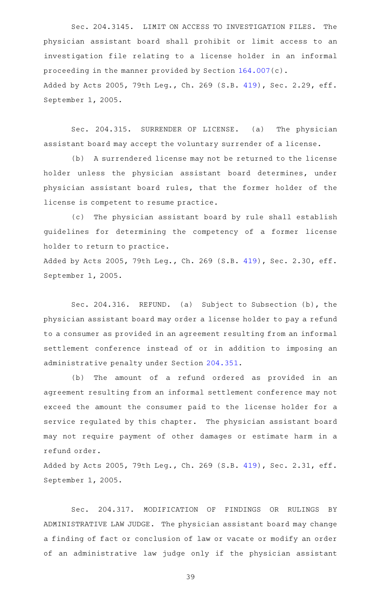Sec. 204.3145. LIMIT ON ACCESS TO INVESTIGATION FILES. The physician assistant board shall prohibit or limit access to an investigation file relating to a license holder in an informal proceeding in the manner provided by Section [164.007\(](http://www.statutes.legis.state.tx.us/GetStatute.aspx?Code=OC&Value=164.007)c). Added by Acts 2005, 79th Leg., Ch. 269 (S.B. [419](http://www.legis.state.tx.us/tlodocs/79R/billtext/html/SB00419F.HTM)), Sec. 2.29, eff. September 1, 2005.

Sec. 204.315. SURRENDER OF LICENSE. (a) The physician assistant board may accept the voluntary surrender of a license.

(b) A surrendered license may not be returned to the license holder unless the physician assistant board determines, under physician assistant board rules, that the former holder of the license is competent to resume practice.

(c) The physician assistant board by rule shall establish guidelines for determining the competency of a former license holder to return to practice.

Added by Acts 2005, 79th Leg., Ch. 269 (S.B. [419](http://www.legis.state.tx.us/tlodocs/79R/billtext/html/SB00419F.HTM)), Sec. 2.30, eff. September 1, 2005.

Sec. 204.316. REFUND. (a) Subject to Subsection (b), the physician assistant board may order a license holder to pay a refund to a consumer as provided in an agreement resulting from an informal settlement conference instead of or in addition to imposing an administrative penalty under Section [204.351](http://www.statutes.legis.state.tx.us/GetStatute.aspx?Code=OC&Value=204.351).

(b) The amount of a refund ordered as provided in an agreement resulting from an informal settlement conference may not exceed the amount the consumer paid to the license holder for a service regulated by this chapter. The physician assistant board may not require payment of other damages or estimate harm in a refund order.

Added by Acts 2005, 79th Leg., Ch. 269 (S.B. [419](http://www.legis.state.tx.us/tlodocs/79R/billtext/html/SB00419F.HTM)), Sec. 2.31, eff. September 1, 2005.

Sec. 204.317. MODIFICATION OF FINDINGS OR RULINGS BY ADMINISTRATIVE LAW JUDGE. The physician assistant board may change a finding of fact or conclusion of law or vacate or modify an order of an administrative law judge only if the physician assistant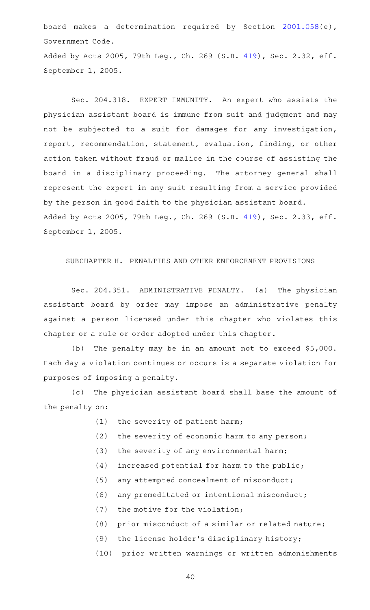board makes a determination required by Section [2001.058\(](http://www.statutes.legis.state.tx.us/GetStatute.aspx?Code=GV&Value=2001.058)e), Government Code.

Added by Acts 2005, 79th Leg., Ch. 269 (S.B. [419](http://www.legis.state.tx.us/tlodocs/79R/billtext/html/SB00419F.HTM)), Sec. 2.32, eff. September 1, 2005.

Sec. 204.318. EXPERT IMMUNITY. An expert who assists the physician assistant board is immune from suit and judgment and may not be subjected to a suit for damages for any investigation, report, recommendation, statement, evaluation, finding, or other action taken without fraud or malice in the course of assisting the board in a disciplinary proceeding. The attorney general shall represent the expert in any suit resulting from a service provided by the person in good faith to the physician assistant board. Added by Acts 2005, 79th Leg., Ch. 269 (S.B. [419](http://www.legis.state.tx.us/tlodocs/79R/billtext/html/SB00419F.HTM)), Sec. 2.33, eff. September 1, 2005.

## SUBCHAPTER H. PENALTIES AND OTHER ENFORCEMENT PROVISIONS

Sec. 204.351. ADMINISTRATIVE PENALTY. (a) The physician assistant board by order may impose an administrative penalty against a person licensed under this chapter who violates this chapter or a rule or order adopted under this chapter.

(b) The penalty may be in an amount not to exceed  $$5,000$ . Each day a violation continues or occurs is a separate violation for purposes of imposing a penalty.

(c) The physician assistant board shall base the amount of the penalty on:

- $(1)$  the severity of patient harm;
- (2) the severity of economic harm to any person;
- $(3)$  the severity of any environmental harm;
- $(4)$  increased potential for harm to the public;
- (5) any attempted concealment of misconduct;
- $(6)$  any premeditated or intentional misconduct;
- $(7)$  the motive for the violation;
- $(8)$  prior misconduct of a similar or related nature;
- (9) the license holder's disciplinary history;
- (10) prior written warnings or written admonishments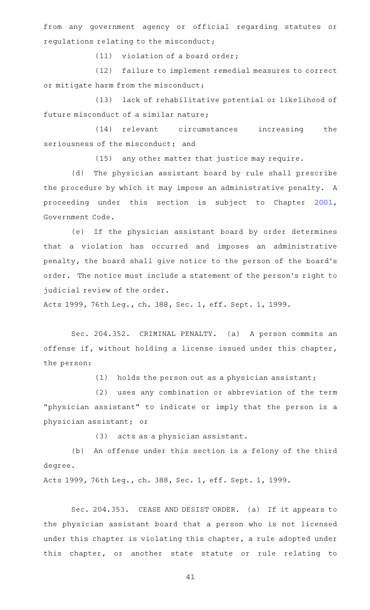from any government agency or official regarding statutes or regulations relating to the misconduct;

 $(11)$  violation of a board order;

(12) failure to implement remedial measures to correct or mitigate harm from the misconduct;

(13) lack of rehabilitative potential or likelihood of future misconduct of a similar nature;

(14) relevant circumstances increasing the seriousness of the misconduct; and

(15) any other matter that justice may require.

(d) The physician assistant board by rule shall prescribe the procedure by which it may impose an administrative penalty. A proceeding under this section is subject to Chapter [2001](http://www.statutes.legis.state.tx.us/GetStatute.aspx?Code=GV&Value=2001), Government Code.

(e) If the physician assistant board by order determines that a violation has occurred and imposes an administrative penalty, the board shall give notice to the person of the board's order. The notice must include a statement of the person 's right to judicial review of the order.

Acts 1999, 76th Leg., ch. 388, Sec. 1, eff. Sept. 1, 1999.

Sec. 204.352. CRIMINAL PENALTY. (a) A person commits an offense if, without holding a license issued under this chapter, the person:

(1) holds the person out as a physician assistant;

(2) uses any combination or abbreviation of the term "physician assistant" to indicate or imply that the person is a physician assistant; or

(3) acts as a physician assistant.

(b) An offense under this section is a felony of the third degree.

Acts 1999, 76th Leg., ch. 388, Sec. 1, eff. Sept. 1, 1999.

Sec. 204.353. CEASE AND DESIST ORDER. (a) If it appears to the physician assistant board that a person who is not licensed under this chapter is violating this chapter, a rule adopted under this chapter, or another state statute or rule relating to